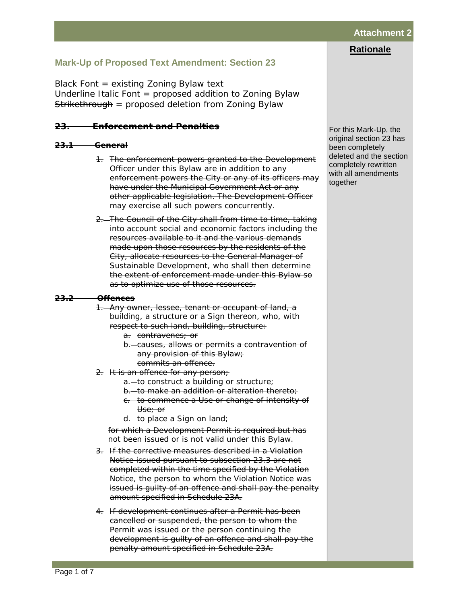Page 1 of 7

# **Attachment 2**

# **Rationale**

# **Mark-Up of Proposed Text Amendment: Section 23**

Black Font = existing Zoning Bylaw text *Underline Italic Font* = proposed addition to Zoning Bylaw Strikethrough = proposed deletion from Zoning Bylaw

## *23. Enforcement and Penalties*

## **23.1 General**

- 1. The enforcement powers granted to the Development Officer under this Bylaw are in addition to any enforcement powers the City or any of its officers may have under the Municipal Government Act or any other applicable legislation. The Development Officer may exercise all such powers concurrently.
- 2. The Council of the City shall from time to time, taking into account social and economic factors including the resources available to it and the various demands made upon those resources by the residents of the City, allocate resources to the General Manager of Sustainable Development, who shall then determine the extent of enforcement made under this Bylaw so as to optimize use of those resources.

### **23.2 Offences**

1. Any owner, lessee, tenant or occupant of land, a building, a structure or a Sign thereon, who, with respect to such land, building, structure:

- a. contravenes; or
- b. causes, allows or permits a contravention of any provision of this Bylaw;
	- commits an offence.
- 2. It is an offence for any person;
	- a. to construct a building or structure;
	- b. to make an addition or alteration thereto;
	- c. to commence a Use or change of intensity of Use; or
	- d. to place a Sign on land;

for which a Development Permit is required but has not been issued or is not valid under this Bylaw.

- 3. If the corrective measures described in a Violation Notice issued pursuant to subsection 23.3 are not completed within the time specified by the Violation Notice, the person to whom the Violation Notice was issued is guilty of an offence and shall pay the penalty amount specified in Schedule 23A.
- 4. If development continues after a Permit has been cancelled or suspended, the person to whom the Permit was issued or the person continuing the development is guilty of an offence and shall pay the penalty amount specified in Schedule 23A.

For this Mark-Up, the original section 23 has been completely deleted and the section completely rewritten with all amendments together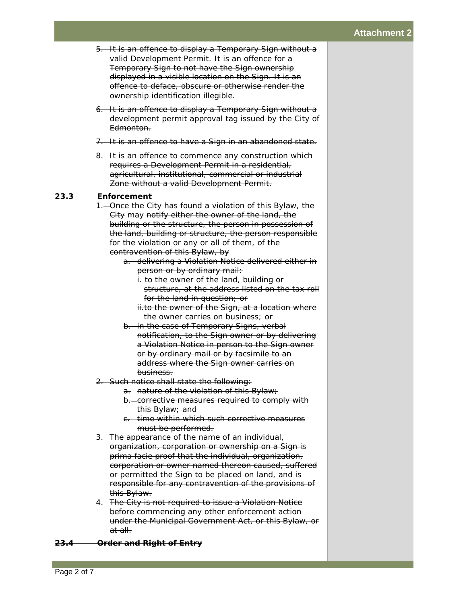- 5. It is an offence to display a Temporary Sign without a valid Development Permit. It is an offence for a Temporary Sign to not have the Sign ownership displayed in a visible location on the Sign. It is an offence to deface, obscure or otherwise render the ownership identification illegible.
- 6. It is an offence to display a Temporary Sign without a development permit approval tag issued by the City of Edmonton.
- 7. It is an offence to have a Sign in an abandoned state.
- 8. It is an offence to commence any construction which requires a Development Permit in a residential, agricultural, institutional, commercial or industrial Zone without a valid Development Permit.

## **23.3 Enforcement**

- 1. Once the City has found a violation of this Bylaw, the City may notify either the owner of the land, the building or the structure, the person in possession of the land, building or structure, the person responsible for the violation or any or all of them, of the contravention of this Bylaw, by
	- a. delivering a Violation Notice delivered either in person or by ordinary mail:
		- i. to the owner of the land, building or structure, at the address listed on the tax roll for the land in question; or
			- ii.to the owner of the Sign, at a location where the owner carries on business; or
	- b. in the case of Temporary Signs, verbal notification, to the Sign owner or by delivering a Violation Notice in person to the Sign owner or by ordinary mail or by facsimile to an address where the Sign owner carries on business.
- 2. Such notice shall state the following:
	- a. nature of the violation of this Bylaw;
	- b. corrective measures required to comply with this Bylaw; and
	- c. time within which such corrective measures must be performed.
- 3. The appearance of the name of an individual, organization, corporation or ownership on a Sign is prima facie proof that the individual, organization, corporation or owner named thereon caused, suffered or permitted the Sign to be placed on land, and is responsible for any contravention of the provisions of this Bylaw.
- 4. The City is not required to issue a Violation Notice before commencing any other enforcement action under the Municipal Government Act, or this Bylaw, or at all.

#### **23.4 Order and Right of Entry**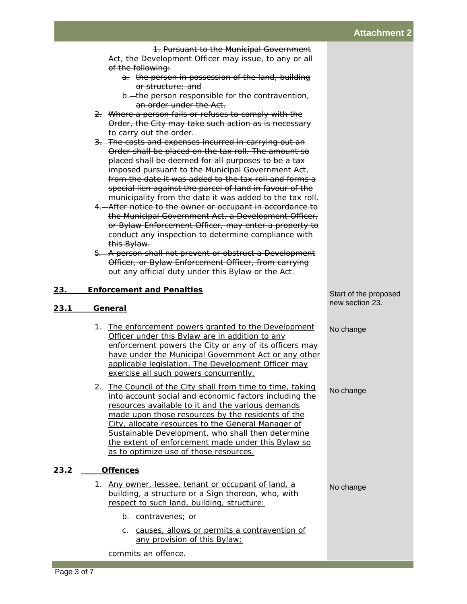1. Pursuant to the Municipal Government Act, the Development Officer may issue, to any or all of the following:

- a. the person in possession of the land, building or structure; and
- b. the person responsible for the contravention, an order under the Act.
- 2. Where a person fails or refuses to comply with the Order, the City may take such action as is necessary to carry out the order.
- 3. The costs and expenses incurred in carrying out an Order shall be placed on the tax roll. The amount so placed shall be deemed for all purposes to be a tax imposed pursuant to the Municipal Government Act, from the date it was added to the tax roll and forms a special lien against the parcel of land in favour of the municipality from the date it was added to the tax roll.
- 4. After notice to the owner or occupant in accordance to the Municipal Government Act, a Development Officer, or Bylaw Enforcement Officer, may enter a property to conduct any inspection to determine compliance with this Bylaw.
- 5. A person shall not prevent or obstruct a Development Officer, or Bylaw Enforcement Officer, from carrying out any official duty under this Bylaw or the Act.

## *23. Enforcement and Penalties*

## *23.1 General*

- *1. The enforcement powers granted to the Development Officer under this Bylaw are in addition to any enforcement powers the City or any of its officers may have under the Municipal Government Act or any other applicable legislation. The Development Officer may exercise all such powers concurrently.*
- *2. The Council of the City shall from time to time, taking into account social and economic factors including the resources available to it and the various demands made upon those resources by the residents of the City, allocate resources to the General Manager of Sustainable Development, who shall then determine the extent of enforcement made under this Bylaw so as to optimize use of those resources.*

## *23.2 Offences*

- *1. Any owner, lessee, tenant or occupant of land, a building, a structure or a Sign thereon, who, with respect to such land, building, structure:*
	- *b. contravenes; or*
	- *c. causes, allows or permits a contravention of any provision of this Bylaw;*

*commits an offence.*

### Start of the proposed new section 23.

No change

No change

No change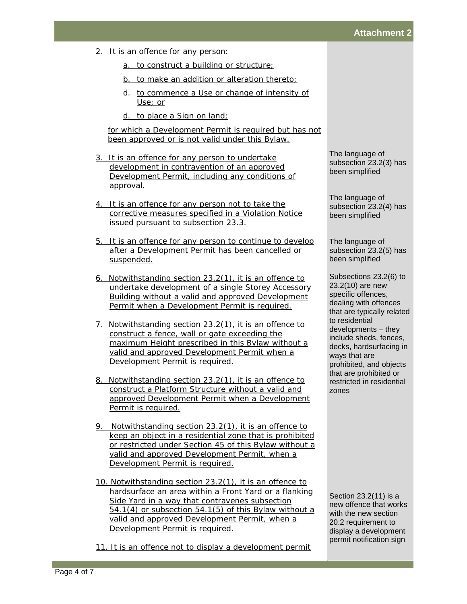- *2. It is an offence for any person:*
	- *a. to construct a building or structure;*
	- *b. to make an addition or alteration thereto;*
	- *d. to commence a Use or change of intensity of Use; or*
	- *d. to place a Sign on land;*

*for which a Development Permit is required but has not been approved or is not valid under this Bylaw.*

- *3. It is an offence for any person to undertake development in contravention of an approved Development Permit, including any conditions of approval.*
- *4. It is an offence for any person not to take the corrective measures specified in a Violation Notice issued pursuant to subsection 23.3.*
- *5. It is an offence for any person to continue to develop after a Development Permit has been cancelled or suspended.*
- *6. Notwithstanding section 23.2(1), it is an offence to undertake development of a single Storey Accessory Building without a valid and approved Development Permit when a Development Permit is required.*
- *7. Notwithstanding section 23.2(1), it is an offence to construct a fence, wall or gate exceeding the maximum Height prescribed in this Bylaw without a valid and approved Development Permit when a Development Permit is required.*
- *8. Notwithstanding section 23.2(1), it is an offence to construct a Platform Structure without a valid and approved Development Permit when a Development Permit is required.*
- *9. Notwithstanding section 23.2(1), it is an offence to keep an object in a residential zone that is prohibited or restricted under Section 45 of this Bylaw without a valid and approved Development Permit, when a Development Permit is required.*
- *10. Notwithstanding section 23.2(1), it is an offence to hardsurface an area within a Front Yard or a flanking Side Yard in a way that contravenes subsection 54.1(4) or subsection 54.1(5) of this Bylaw without a valid and approved Development Permit, when a Development Permit is required.*
- 11. It is an offence not to display a development permit

The language of subsection 23.2(3) has been simplified

The language of subsection 23.2(4) has been simplified

The language of subsection 23.2(5) has been simplified

Subsections 23.2(6) to 23.2(10) are new specific offences, dealing with offences that are typically related to residential developments – they include sheds, fences, decks, hardsurfacing in ways that are prohibited, and objects that are prohibited or restricted in residential zones

Section 23.2(11) is a new offence that works with the new section 20.2 requirement to display a development permit notification sign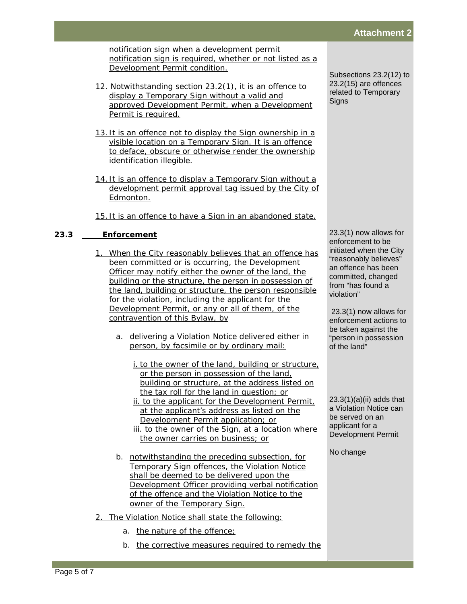*notification sign when a development permit notification sign is required, whether or not listed as a Development Permit condition.*

- *12. Notwithstanding section 23.2(1), it is an offence to display a Temporary Sign without a valid and approved Development Permit, when a Development Permit is required.*
- *13. It is an offence not to display the Sign ownership in a visible location on a Temporary Sign. It is an offence to deface, obscure or otherwise render the ownership identification illegible.*
- *14. It is an offence to display a Temporary Sign without a development permit approval tag issued by the City of Edmonton.*
- *15. It is an offence to have a Sign in an abandoned state.*

# *23.3 Enforcement*

- *1. When the City reasonably believes that an offence has been committed or is occurring, the Development Officer may notify either the owner of the land, the building or the structure, the person in possession of the land, building or structure, the person responsible for the violation, including the applicant for the Development Permit, or any or all of them, of the contravention of this Bylaw, by* 
	- *a. delivering a Violation Notice delivered either in person, by facsimile or by ordinary mail:*
		- *i. to the owner of the land, building or structure, or the person in possession of the land, building or structure, at the address listed on the tax roll for the land in question; or*
		- *ii. to the applicant for the Development Permit, at the applicant's address as listed on the Development Permit application; or iii. to the owner of the Sign, at a location where the owner carries on business; or*
	- *b. notwithstanding the preceding subsection, for Temporary Sign offences, the Violation Notice shall be deemed to be delivered upon the Development Officer providing verbal notification of the offence and the Violation Notice to the owner of the Temporary Sign.*
- *2. The Violation Notice shall state the following:*
	- *a. the nature of the offence;*
	- *b. the corrective measures required to remedy the*

Subsections 23.2(12) to 23.2(15) are offences related to Temporary **Signs** 

23.3(1) now allows for enforcement to be initiated when the City "reasonably believes" an offence has been committed, changed from "has found a violation"

23.3(1) now allows for enforcement actions to be taken against the "person in possession of the land"

 $23.3(1)(a)(ii)$  adds that a Violation Notice can be served on an applicant for a Development Permit

No change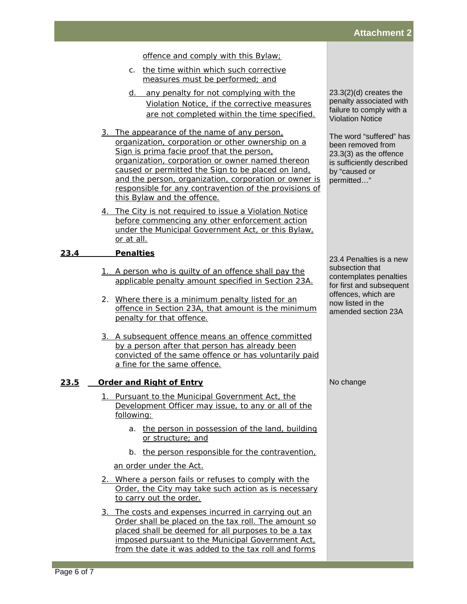*offence and comply with this Bylaw;*

- *c. the time within which such corrective measures must be performed; and*
- *d. any penalty for not complying with the Violation Notice, if the corrective measures are not completed within the time specified.*
- *3. The appearance of the name of any person, organization, corporation or other ownership on a Sign is prima facie proof that the person, organization, corporation or owner named thereon caused or permitted the Sign to be placed on land, and the person, organization, corporation or owner is responsible for any contravention of the provisions of this Bylaw and the offence.*
- *4. The City is not required to issue a Violation Notice before commencing any other enforcement action under the Municipal Government Act, or this Bylaw, or at all.*

## *23.4 Penalties*

- *1. A person who is guilty of an offence shall pay the applicable penalty amount specified in Section 23A.*
- *2. Where there is a minimum penalty listed for an offence in Section 23A, that amount is the minimum penalty for that offence.*
- *3. A subsequent offence means an offence committed by a person after that person has already been convicted of the same offence or has voluntarily paid a fine for the same offence.*

## *23.5 Order and Right of Entry*

- *1. Pursuant to the Municipal Government Act, the Development Officer may issue, to any or all of the following:*
	- *a. the person in possession of the land, building or structure; and*
	- *b. the person responsible for the contravention,*

*an order under the Act.*

- *2. Where a person fails or refuses to comply with the Order, the City may take such action as is necessary to carry out the order.*
- *3. The costs and expenses incurred in carrying out an Order shall be placed on the tax roll. The amount so placed shall be deemed for all purposes to be a tax imposed pursuant to the Municipal Government Act, from the date it was added to the tax roll and forms*

23.3(2)(d) creates the penalty associated with failure to comply with a Violation Notice

The word "suffered" has been removed from 23.3(3) as the offence is sufficiently described by "caused or permitted…"

23.4 Penalties is a new subsection that contemplates penalties for first and subsequent offences, which are now listed in the amended section 23A

No change